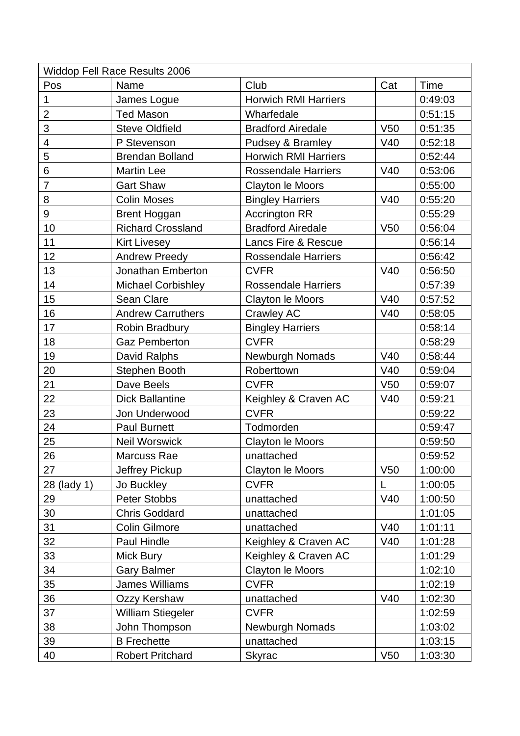| <b>Widdop Fell Race Results 2006</b> |                           |                             |                 |             |  |  |  |
|--------------------------------------|---------------------------|-----------------------------|-----------------|-------------|--|--|--|
| Pos                                  | Name                      | Club                        | Cat             | <b>Time</b> |  |  |  |
| 1                                    | James Logue               | <b>Horwich RMI Harriers</b> |                 | 0:49:03     |  |  |  |
| $\overline{2}$                       | <b>Ted Mason</b>          | Wharfedale                  |                 | 0:51:15     |  |  |  |
| 3                                    | <b>Steve Oldfield</b>     | <b>Bradford Airedale</b>    | V <sub>50</sub> | 0:51:35     |  |  |  |
| $\overline{\mathcal{A}}$             | P Stevenson               | Pudsey & Bramley            | V40             | 0:52:18     |  |  |  |
| 5                                    | <b>Brendan Bolland</b>    | <b>Horwich RMI Harriers</b> |                 | 0:52:44     |  |  |  |
| $6\phantom{1}$                       | <b>Martin Lee</b>         | <b>Rossendale Harriers</b>  | V40             | 0:53:06     |  |  |  |
| $\overline{7}$                       | <b>Gart Shaw</b>          | <b>Clayton le Moors</b>     |                 | 0:55:00     |  |  |  |
| 8                                    | <b>Colin Moses</b>        | <b>Bingley Harriers</b>     | V40             | 0:55:20     |  |  |  |
| 9                                    | <b>Brent Hoggan</b>       | <b>Accrington RR</b>        |                 | 0:55:29     |  |  |  |
| 10                                   | <b>Richard Crossland</b>  | <b>Bradford Airedale</b>    | V <sub>50</sub> | 0:56:04     |  |  |  |
| 11                                   | Kirt Livesey              | Lancs Fire & Rescue         |                 | 0:56:14     |  |  |  |
| 12                                   | <b>Andrew Preedy</b>      | <b>Rossendale Harriers</b>  |                 | 0:56:42     |  |  |  |
| 13                                   | Jonathan Emberton         | <b>CVFR</b>                 | V40             | 0:56:50     |  |  |  |
| 14                                   | <b>Michael Corbishley</b> | <b>Rossendale Harriers</b>  |                 | 0:57:39     |  |  |  |
| 15                                   | Sean Clare                | Clayton le Moors            | V40             | 0:57:52     |  |  |  |
| 16                                   | <b>Andrew Carruthers</b>  | Crawley AC                  | V40             | 0:58:05     |  |  |  |
| 17                                   | Robin Bradbury            | <b>Bingley Harriers</b>     |                 | 0:58:14     |  |  |  |
| 18                                   | <b>Gaz Pemberton</b>      | <b>CVFR</b>                 |                 | 0:58:29     |  |  |  |
| 19                                   | David Ralphs              | Newburgh Nomads             | V40             | 0:58:44     |  |  |  |
| 20                                   | <b>Stephen Booth</b>      | Roberttown                  | V40             | 0:59:04     |  |  |  |
| 21                                   | Dave Beels                | <b>CVFR</b>                 | V50             | 0:59:07     |  |  |  |
| 22                                   | <b>Dick Ballantine</b>    | Keighley & Craven AC        | V40             | 0:59:21     |  |  |  |
| 23                                   | Jon Underwood             | <b>CVFR</b>                 |                 | 0:59:22     |  |  |  |
| 24                                   | <b>Paul Burnett</b>       | Todmorden                   |                 | 0:59:47     |  |  |  |
| 25                                   | <b>Neil Worswick</b>      | <b>Clayton le Moors</b>     |                 | 0:59:50     |  |  |  |
| 26                                   | Marcuss Rae               | unattached                  |                 | 0:59:52     |  |  |  |
| 27                                   | Jeffrey Pickup            | Clayton le Moors            | V <sub>50</sub> | 1:00:00     |  |  |  |
| 28 (lady 1)                          | Jo Buckley                | <b>CVFR</b>                 | L               | 1:00:05     |  |  |  |
| 29                                   | Peter Stobbs              | unattached                  | V40             | 1:00:50     |  |  |  |
| 30                                   | <b>Chris Goddard</b>      | unattached                  |                 | 1:01:05     |  |  |  |
| 31                                   | <b>Colin Gilmore</b>      | unattached                  | V40             | 1:01:11     |  |  |  |
| 32                                   | Paul Hindle               | Keighley & Craven AC        | V40             | 1:01:28     |  |  |  |
| 33                                   | Mick Bury                 | Keighley & Craven AC        |                 | 1:01:29     |  |  |  |
| 34                                   | <b>Gary Balmer</b>        | Clayton le Moors            |                 | 1:02:10     |  |  |  |
| 35                                   | <b>James Williams</b>     | <b>CVFR</b>                 |                 | 1:02:19     |  |  |  |
| 36                                   | Ozzy Kershaw              | unattached                  | V40             | 1:02:30     |  |  |  |
| 37                                   | <b>William Stiegeler</b>  | <b>CVFR</b>                 |                 | 1:02:59     |  |  |  |
| 38                                   | John Thompson             | <b>Newburgh Nomads</b>      |                 | 1:03:02     |  |  |  |
| 39                                   | <b>B</b> Frechette        | unattached                  |                 | 1:03:15     |  |  |  |
| 40                                   | <b>Robert Pritchard</b>   | <b>Skyrac</b>               | V50             | 1:03:30     |  |  |  |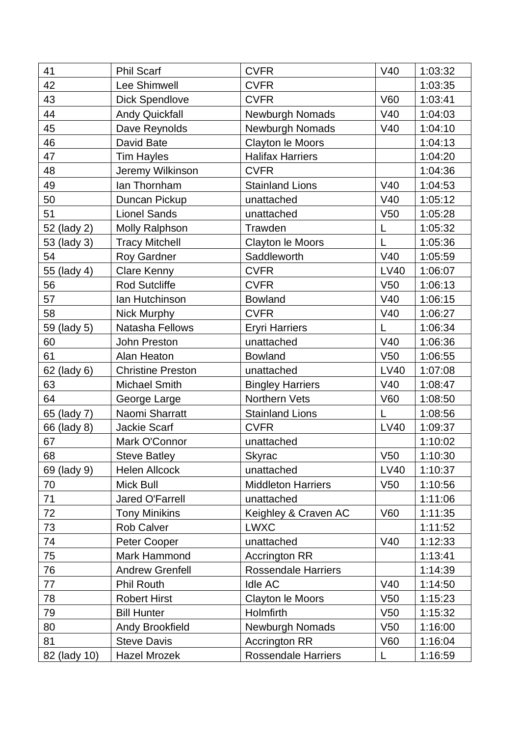| 41           | <b>Phil Scarf</b>        | <b>CVFR</b>                | V40             | 1:03:32 |
|--------------|--------------------------|----------------------------|-----------------|---------|
| 42           | Lee Shimwell             | <b>CVFR</b>                |                 | 1:03:35 |
| 43           | <b>Dick Spendlove</b>    | <b>CVFR</b>                | <b>V60</b>      | 1:03:41 |
| 44           | <b>Andy Quickfall</b>    | Newburgh Nomads            | V40             | 1:04:03 |
| 45           | Dave Reynolds            | Newburgh Nomads            | V40             | 1:04:10 |
| 46           | David Bate               | Clayton le Moors           |                 | 1:04:13 |
| 47           | <b>Tim Hayles</b>        | <b>Halifax Harriers</b>    |                 | 1:04:20 |
| 48           | Jeremy Wilkinson         | <b>CVFR</b>                |                 | 1:04:36 |
| 49           | lan Thornham             | <b>Stainland Lions</b>     | V40             | 1:04:53 |
| 50           | Duncan Pickup            | unattached                 | V40             | 1:05:12 |
| 51           | <b>Lionel Sands</b>      | unattached                 | V <sub>50</sub> | 1:05:28 |
| 52 (lady 2)  | <b>Molly Ralphson</b>    | Trawden                    | L               | 1:05:32 |
| 53 (lady 3)  | <b>Tracy Mitchell</b>    | Clayton le Moors           | L               | 1:05:36 |
| 54           | Roy Gardner              | Saddleworth                | V40             | 1:05:59 |
| 55 (lady 4)  | Clare Kenny              | <b>CVFR</b>                | <b>LV40</b>     | 1:06:07 |
| 56           | <b>Rod Sutcliffe</b>     | <b>CVFR</b>                | V <sub>50</sub> | 1:06:13 |
| 57           | Ian Hutchinson           | <b>Bowland</b>             | V40             | 1:06:15 |
| 58           | Nick Murphy              | <b>CVFR</b>                | V40             | 1:06:27 |
| 59 (lady 5)  | Natasha Fellows          | <b>Eryri Harriers</b>      | L               | 1:06:34 |
| 60           | John Preston             | unattached                 | V40             | 1:06:36 |
| 61           | Alan Heaton              | <b>Bowland</b>             | V <sub>50</sub> | 1:06:55 |
| 62 (lady 6)  | <b>Christine Preston</b> | unattached                 | <b>LV40</b>     | 1:07:08 |
| 63           | <b>Michael Smith</b>     | <b>Bingley Harriers</b>    | V40             | 1:08:47 |
| 64           | George Large             | Northern Vets              | <b>V60</b>      | 1:08:50 |
| 65 (lady 7)  | Naomi Sharratt           | <b>Stainland Lions</b>     | L               | 1:08:56 |
| 66 (lady 8)  | Jackie Scarf             | <b>CVFR</b>                | <b>LV40</b>     | 1:09:37 |
| 67           | Mark O'Connor            | unattached                 |                 | 1:10:02 |
| 68           | <b>Steve Batley</b>      | Skyrac                     | V50             | 1:10:30 |
| 69 (lady 9)  | <b>Helen Allcock</b>     | unattached                 | <b>LV40</b>     | 1:10:37 |
| 70           | <b>Mick Bull</b>         | <b>Middleton Harriers</b>  | V <sub>50</sub> | 1:10:56 |
| 71           | Jared O'Farrell          | unattached                 |                 | 1:11:06 |
| 72           | <b>Tony Minikins</b>     | Keighley & Craven AC       | <b>V60</b>      | 1:11:35 |
| 73           | <b>Rob Calver</b>        | <b>LWXC</b>                |                 | 1:11:52 |
| 74           | Peter Cooper             | unattached                 | V40             | 1:12:33 |
| 75           | Mark Hammond             | <b>Accrington RR</b>       |                 | 1:13:41 |
| 76           | <b>Andrew Grenfell</b>   | Rossendale Harriers        |                 | 1:14:39 |
| 77           | <b>Phil Routh</b>        | <b>Idle AC</b>             | V40             | 1:14:50 |
| 78           | <b>Robert Hirst</b>      | <b>Clayton le Moors</b>    | V50             | 1:15:23 |
| 79           | <b>Bill Hunter</b>       | Holmfirth                  | V <sub>50</sub> | 1:15:32 |
| 80           | <b>Andy Brookfield</b>   | <b>Newburgh Nomads</b>     | V <sub>50</sub> | 1:16:00 |
| 81           | <b>Steve Davis</b>       | <b>Accrington RR</b>       | V60             | 1:16:04 |
| 82 (lady 10) | <b>Hazel Mrozek</b>      | <b>Rossendale Harriers</b> | L               | 1:16:59 |